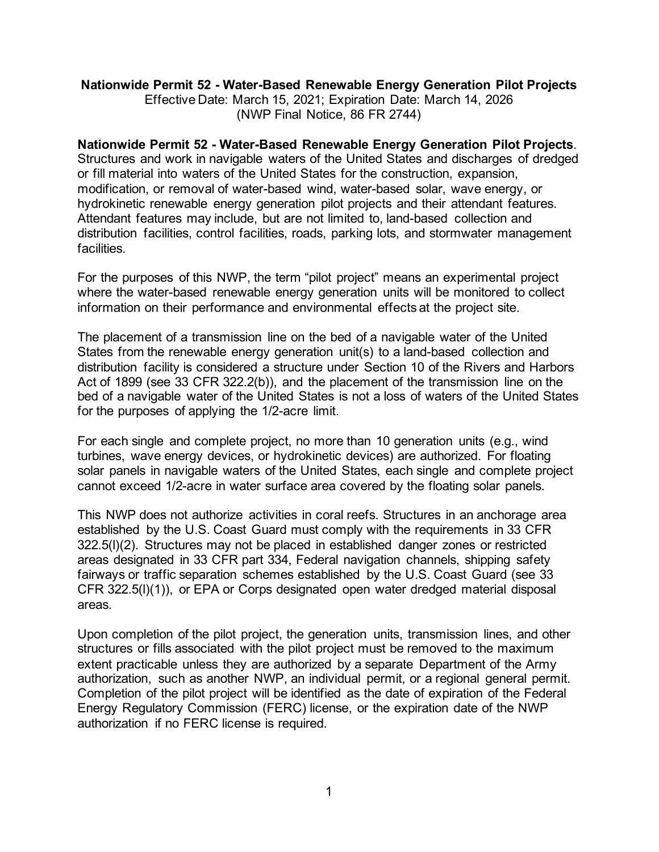#### **Nationwide Permit 52 - Water-Based Renewable Energy Generation Pilot Projects**

Effective Date: March 15, 2021; Expiration Date: March 14, 2026 (NWP Final Notice, 86 FR 2744)

**Nationwide Permit 52 - Water-Based Renewable Energy Generation Pilot Projects**. Structures and work in navigable waters of the United States and discharges of dredged or fill material into waters of the United States for the construction, expansion, modification, or removal of water-based wind, water-based solar, wave energy, or hydrokinetic renewable energy generation pilot projects and their attendant features. Attendant features may include, but are not limited to, land-based collection and distribution facilities, control facilities, roads, parking lots, and stormwater management facilities.

For the purposes of this NWP, the term "pilot project" means an experimental project where the water-based renewable energy generation units will be monitored to collect information on their performance and environmental effects at the project site.

The placement of a transmission line on the bed of a navigable water of the United States from the renewable energy generation unit(s) to a land-based collection and distribution facility is considered a structure under Section 10 of the Rivers and Harbors Act of 1899 (see 33 CFR 322.2(b)), and the placement of the transmission line on the bed of a navigable water of the United States is not a loss of waters of the United States for the purposes of applying the 1/2-acre limit.

For each single and complete project, no more than 10 generation units (e.g., wind turbines, wave energy devices, or hydrokinetic devices) are authorized. For floating solar panels in navigable waters of the United States, each single and complete project cannot exceed 1/2-acre in water surface area covered by the floating solar panels.

This NWP does not authorize activities in coral reefs. Structures in an anchorage area established by the U.S. Coast Guard must comply with the requirements in 33 CFR 322.5(l)(2). Structures may not be placed in established danger zones or restricted areas designated in 33 CFR part 334, Federal navigation channels, shipping safety fairways or traffic separation schemes established by the U.S. Coast Guard (see 33 CFR 322.5(l)(1)), or EPA or Corps designated open water dredged material disposal areas.

Upon completion of the pilot project, the generation units, transmission lines, and other structures or fills associated with the pilot project must be removed to the maximum extent practicable unless they are authorized by a separate Department of the Army authorization, such as another NWP, an individual permit, or a regional general permit. Completion of the pilot project will be identified as the date of expiration of the Federal Energy Regulatory Commission (FERC) license, or the expiration date of the NWP authorization if no FERC license is required.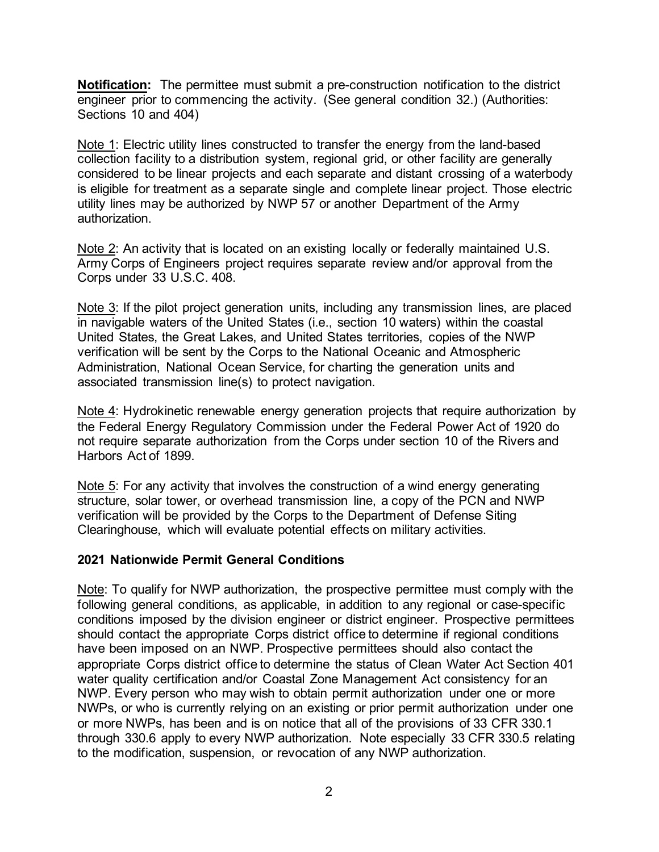**Notification:** The permittee must submit a pre-construction notification to the district engineer prior to commencing the activity. (See general condition 32.) (Authorities: Sections 10 and 404)

Note 1: Electric utility lines constructed to transfer the energy from the land-based collection facility to a distribution system, regional grid, or other facility are generally considered to be linear projects and each separate and distant crossing of a waterbody is eligible for treatment as a separate single and complete linear project. Those electric utility lines may be authorized by NWP 57 or another Department of the Army authorization.

Note 2: An activity that is located on an existing locally or federally maintained U.S. Army Corps of Engineers project requires separate review and/or approval from the Corps under 33 U.S.C. 408.

Note 3: If the pilot project generation units, including any transmission lines, are placed in navigable waters of the United States (i.e., section 10 waters) within the coastal United States, the Great Lakes, and United States territories, copies of the NWP verification will be sent by the Corps to the National Oceanic and Atmospheric Administration, National Ocean Service, for charting the generation units and associated transmission line(s) to protect navigation.

Note 4: Hydrokinetic renewable energy generation projects that require authorization by the Federal Energy Regulatory Commission under the Federal Power Act of 1920 do not require separate authorization from the Corps under section 10 of the Rivers and Harbors Act of 1899.

Note 5: For any activity that involves the construction of a wind energy generating structure, solar tower, or overhead transmission line, a copy of the PCN and NWP verification will be provided by the Corps to the Department of Defense Siting Clearinghouse, which will evaluate potential effects on military activities.

#### **2021 Nationwide Permit General Conditions**

Note: To qualify for NWP authorization, the prospective permittee must comply with the following general conditions, as applicable, in addition to any regional or case-specific conditions imposed by the division engineer or district engineer. Prospective permittees should contact the appropriate Corps district office to determine if regional conditions have been imposed on an NWP. Prospective permittees should also contact the appropriate Corps district office to determine the status of Clean Water Act Section 401 water quality certification and/or Coastal Zone Management Act consistency for an NWP. Every person who may wish to obtain permit authorization under one or more NWPs, or who is currently relying on an existing or prior permit authorization under one or more NWPs, has been and is on notice that all of the provisions of 33 CFR 330.1 through 330.6 apply to every NWP authorization. Note especially 33 CFR 330.5 relating to the modification, suspension, or revocation of any NWP authorization.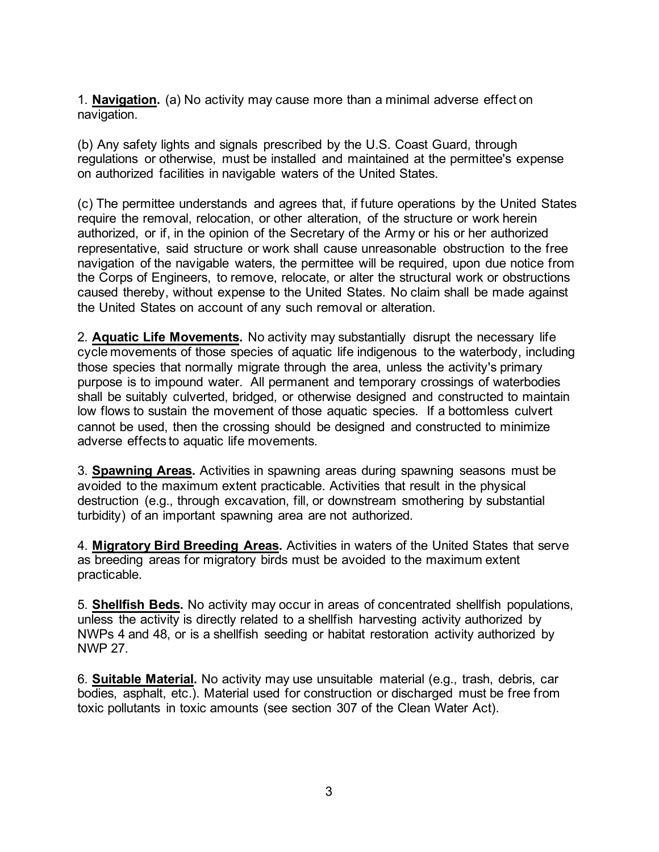1. **Navigation.** (a) No activity may cause more than a minimal adverse effect on navigation.

(b) Any safety lights and signals prescribed by the U.S. Coast Guard, through regulations or otherwise, must be installed and maintained at the permittee's expense on authorized facilities in navigable waters of the United States.

(c) The permittee understands and agrees that, if future operations by the United States require the removal, relocation, or other alteration, of the structure or work herein authorized, or if, in the opinion of the Secretary of the Army or his or her authorized representative, said structure or work shall cause unreasonable obstruction to the free navigation of the navigable waters, the permittee will be required, upon due notice from the Corps of Engineers, to remove, relocate, or alter the structural work or obstructions caused thereby, without expense to the United States. No claim shall be made against the United States on account of any such removal or alteration.

2. **Aquatic Life Movements.** No activity may substantially disrupt the necessary life cycle movements of those species of aquatic life indigenous to the waterbody, including those species that normally migrate through the area, unless the activity's primary purpose is to impound water. All permanent and temporary crossings of waterbodies shall be suitably culverted, bridged, or otherwise designed and constructed to maintain low flows to sustain the movement of those aquatic species. If a bottomless culvert cannot be used, then the crossing should be designed and constructed to minimize adverse effects to aquatic life movements.

3. **Spawning Areas.** Activities in spawning areas during spawning seasons must be avoided to the maximum extent practicable. Activities that result in the physical destruction (e.g., through excavation, fill, or downstream smothering by substantial turbidity) of an important spawning area are not authorized.

4. **Migratory Bird Breeding Areas.** Activities in waters of the United States that serve as breeding areas for migratory birds must be avoided to the maximum extent practicable.

5. **Shellfish Beds.** No activity may occur in areas of concentrated shellfish populations, unless the activity is directly related to a shellfish harvesting activity authorized by NWPs 4 and 48, or is a shellfish seeding or habitat restoration activity authorized by NWP 27.

6. **Suitable Material.** No activity may use unsuitable material (e.g., trash, debris, car bodies, asphalt, etc.). Material used for construction or discharged must be free from toxic pollutants in toxic amounts (see section 307 of the Clean Water Act).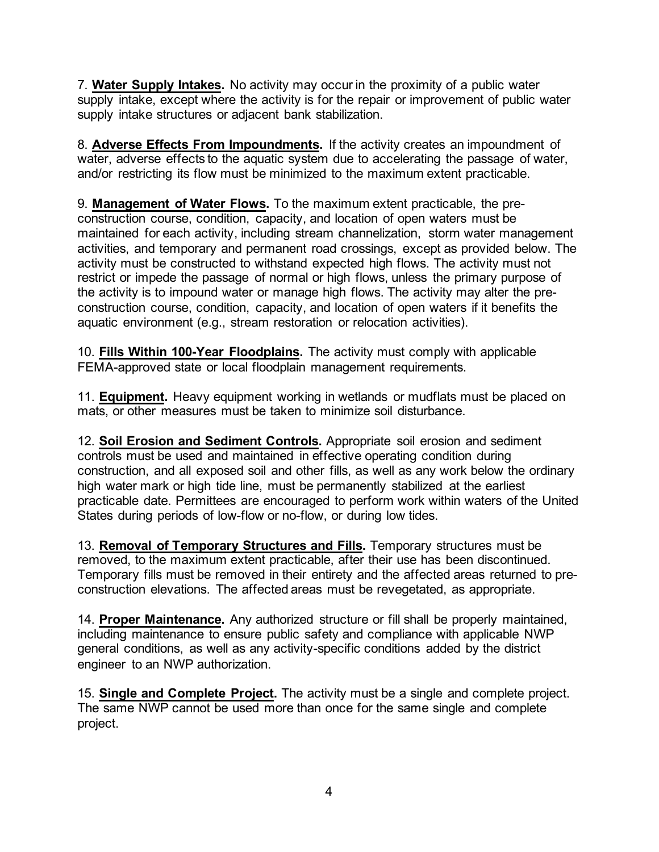7. **Water Supply Intakes.** No activity may occur in the proximity of a public water supply intake, except where the activity is for the repair or improvement of public water supply intake structures or adjacent bank stabilization.

8. **Adverse Effects From Impoundments.** If the activity creates an impoundment of water, adverse effects to the aquatic system due to accelerating the passage of water, and/or restricting its flow must be minimized to the maximum extent practicable.

9. **Management of Water Flows.** To the maximum extent practicable, the preconstruction course, condition, capacity, and location of open waters must be maintained for each activity, including stream channelization, storm water management activities, and temporary and permanent road crossings, except as provided below. The activity must be constructed to withstand expected high flows. The activity must not restrict or impede the passage of normal or high flows, unless the primary purpose of the activity is to impound water or manage high flows. The activity may alter the preconstruction course, condition, capacity, and location of open waters if it benefits the aquatic environment (e.g., stream restoration or relocation activities).

10. **Fills Within 100-Year Floodplains.** The activity must comply with applicable FEMA-approved state or local floodplain management requirements.

11. **Equipment.** Heavy equipment working in wetlands or mudflats must be placed on mats, or other measures must be taken to minimize soil disturbance.

12. **Soil Erosion and Sediment Controls.** Appropriate soil erosion and sediment controls must be used and maintained in effective operating condition during construction, and all exposed soil and other fills, as well as any work below the ordinary high water mark or high tide line, must be permanently stabilized at the earliest practicable date. Permittees are encouraged to perform work within waters of the United States during periods of low-flow or no-flow, or during low tides.

13. **Removal of Temporary Structures and Fills.** Temporary structures must be removed, to the maximum extent practicable, after their use has been discontinued. Temporary fills must be removed in their entirety and the affected areas returned to preconstruction elevations. The affected areas must be revegetated, as appropriate.

14. **Proper Maintenance.** Any authorized structure or fill shall be properly maintained, including maintenance to ensure public safety and compliance with applicable NWP general conditions, as well as any activity-specific conditions added by the district engineer to an NWP authorization.

15. **Single and Complete Project.** The activity must be a single and complete project. The same NWP cannot be used more than once for the same single and complete project.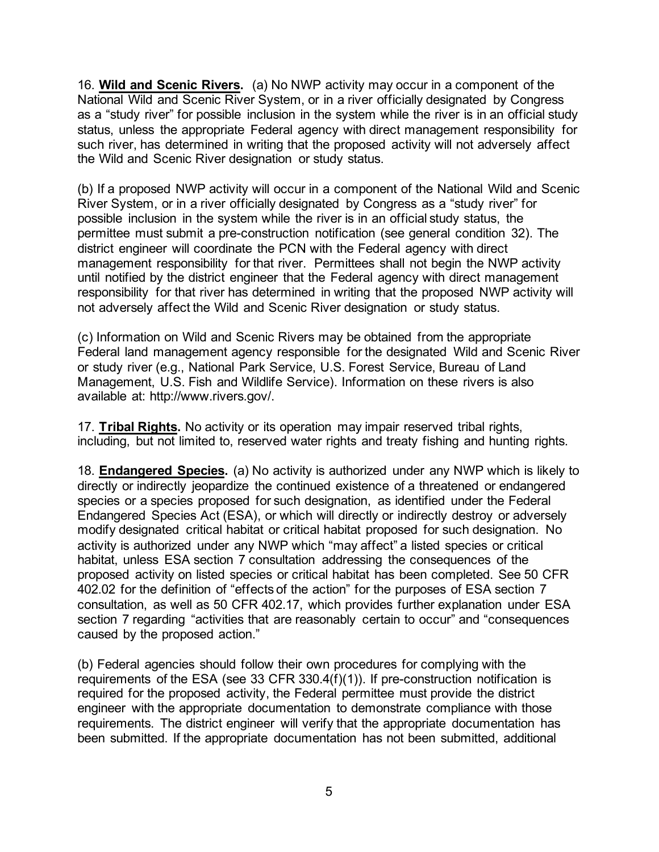16. **Wild and Scenic Rivers.** (a) No NWP activity may occur in a component of the National Wild and Scenic River System, or in a river officially designated by Congress as a "study river" for possible inclusion in the system while the river is in an official study status, unless the appropriate Federal agency with direct management responsibility for such river, has determined in writing that the proposed activity will not adversely affect the Wild and Scenic River designation or study status.

(b) If a proposed NWP activity will occur in a component of the National Wild and Scenic River System, or in a river officially designated by Congress as a "study river" for possible inclusion in the system while the river is in an official study status, the permittee must submit a pre-construction notification (see general condition 32). The district engineer will coordinate the PCN with the Federal agency with direct management responsibility for that river. Permittees shall not begin the NWP activity until notified by the district engineer that the Federal agency with direct management responsibility for that river has determined in writing that the proposed NWP activity will not adversely affect the Wild and Scenic River designation or study status.

(c) Information on Wild and Scenic Rivers may be obtained from the appropriate Federal land management agency responsible for the designated Wild and Scenic River or study river (e.g., National Park Service, U.S. Forest Service, Bureau of Land Management, U.S. Fish and Wildlife Service). Information on these rivers is also available at: http://www.rivers.gov/.

17. **Tribal Rights.** No activity or its operation may impair reserved tribal rights, including, but not limited to, reserved water rights and treaty fishing and hunting rights.

18. **Endangered Species.** (a) No activity is authorized under any NWP which is likely to directly or indirectly jeopardize the continued existence of a threatened or endangered species or a species proposed for such designation, as identified under the Federal Endangered Species Act (ESA), or which will directly or indirectly destroy or adversely modify designated critical habitat or critical habitat proposed for such designation. No activity is authorized under any NWP which "may affect" a listed species or critical habitat, unless ESA section 7 consultation addressing the consequences of the proposed activity on listed species or critical habitat has been completed. See 50 CFR 402.02 for the definition of "effects of the action" for the purposes of ESA section 7 consultation, as well as 50 CFR 402.17, which provides further explanation under ESA section 7 regarding "activities that are reasonably certain to occur" and "consequences caused by the proposed action."

(b) Federal agencies should follow their own procedures for complying with the requirements of the ESA (see 33 CFR 330.4(f)(1)). If pre-construction notification is required for the proposed activity, the Federal permittee must provide the district engineer with the appropriate documentation to demonstrate compliance with those requirements. The district engineer will verify that the appropriate documentation has been submitted. If the appropriate documentation has not been submitted, additional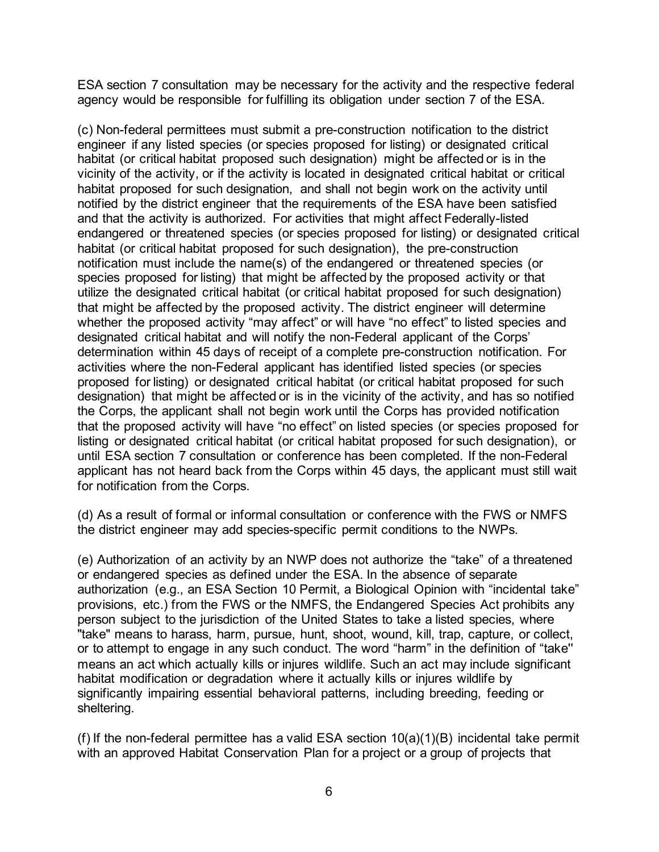ESA section 7 consultation may be necessary for the activity and the respective federal agency would be responsible for fulfilling its obligation under section 7 of the ESA.

(c) Non-federal permittees must submit a pre-construction notification to the district engineer if any listed species (or species proposed for listing) or designated critical habitat (or critical habitat proposed such designation) might be affected or is in the vicinity of the activity, or if the activity is located in designated critical habitat or critical habitat proposed for such designation, and shall not begin work on the activity until notified by the district engineer that the requirements of the ESA have been satisfied and that the activity is authorized. For activities that might affect Federally-listed endangered or threatened species (or species proposed for listing) or designated critical habitat (or critical habitat proposed for such designation), the pre-construction notification must include the name(s) of the endangered or threatened species (or species proposed for listing) that might be affected by the proposed activity or that utilize the designated critical habitat (or critical habitat proposed for such designation) that might be affected by the proposed activity. The district engineer will determine whether the proposed activity "may affect" or will have "no effect" to listed species and designated critical habitat and will notify the non-Federal applicant of the Corps' determination within 45 days of receipt of a complete pre-construction notification. For activities where the non-Federal applicant has identified listed species (or species proposed for listing) or designated critical habitat (or critical habitat proposed for such designation) that might be affected or is in the vicinity of the activity, and has so notified the Corps, the applicant shall not begin work until the Corps has provided notification that the proposed activity will have "no effect" on listed species (or species proposed for listing or designated critical habitat (or critical habitat proposed for such designation), or until ESA section 7 consultation or conference has been completed. If the non-Federal applicant has not heard back from the Corps within 45 days, the applicant must still wait for notification from the Corps.

(d) As a result of formal or informal consultation or conference with the FWS or NMFS the district engineer may add species-specific permit conditions to the NWPs.

(e) Authorization of an activity by an NWP does not authorize the "take" of a threatened or endangered species as defined under the ESA. In the absence of separate authorization (e.g., an ESA Section 10 Permit, a Biological Opinion with "incidental take" provisions, etc.) from the FWS or the NMFS, the Endangered Species Act prohibits any person subject to the jurisdiction of the United States to take a listed species, where "take" means to harass, harm, pursue, hunt, shoot, wound, kill, trap, capture, or collect, or to attempt to engage in any such conduct. The word "harm" in the definition of "take'' means an act which actually kills or injures wildlife. Such an act may include significant habitat modification or degradation where it actually kills or injures wildlife by significantly impairing essential behavioral patterns, including breeding, feeding or sheltering.

(f) If the non-federal permittee has a valid ESA section 10(a)(1)(B) incidental take permit with an approved Habitat Conservation Plan for a project or a group of projects that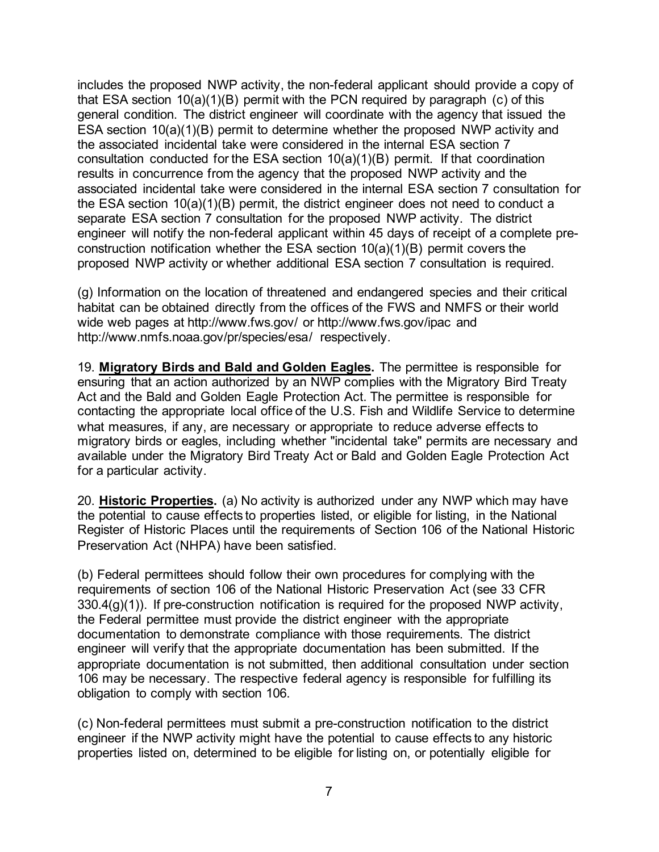includes the proposed NWP activity, the non-federal applicant should provide a copy of that ESA section 10(a)(1)(B) permit with the PCN required by paragraph (c) of this general condition. The district engineer will coordinate with the agency that issued the ESA section 10(a)(1)(B) permit to determine whether the proposed NWP activity and the associated incidental take were considered in the internal ESA section 7 consultation conducted for the ESA section 10(a)(1)(B) permit. If that coordination results in concurrence from the agency that the proposed NWP activity and the associated incidental take were considered in the internal ESA section 7 consultation for the ESA section 10(a)(1)(B) permit, the district engineer does not need to conduct a separate ESA section 7 consultation for the proposed NWP activity. The district engineer will notify the non-federal applicant within 45 days of receipt of a complete preconstruction notification whether the ESA section 10(a)(1)(B) permit covers the proposed NWP activity or whether additional ESA section 7 consultation is required.

(g) Information on the location of threatened and endangered species and their critical habitat can be obtained directly from the offices of the FWS and NMFS or their world wide web pages at http://www.fws.gov/ or http://www.fws.gov/ipac and http://www.nmfs.noaa.gov/pr/species/esa/ respectively.

19. **Migratory Birds and Bald and Golden Eagles.** The permittee is responsible for ensuring that an action authorized by an NWP complies with the Migratory Bird Treaty Act and the Bald and Golden Eagle Protection Act. The permittee is responsible for contacting the appropriate local office of the U.S. Fish and Wildlife Service to determine what measures, if any, are necessary or appropriate to reduce adverse effects to migratory birds or eagles, including whether "incidental take" permits are necessary and available under the Migratory Bird Treaty Act or Bald and Golden Eagle Protection Act for a particular activity.

20. **Historic Properties.** (a) No activity is authorized under any NWP which may have the potential to cause effects to properties listed, or eligible for listing, in the National Register of Historic Places until the requirements of Section 106 of the National Historic Preservation Act (NHPA) have been satisfied.

(b) Federal permittees should follow their own procedures for complying with the requirements of section 106 of the National Historic Preservation Act (see 33 CFR 330.4(g)(1)). If pre-construction notification is required for the proposed NWP activity, the Federal permittee must provide the district engineer with the appropriate documentation to demonstrate compliance with those requirements. The district engineer will verify that the appropriate documentation has been submitted. If the appropriate documentation is not submitted, then additional consultation under section 106 may be necessary. The respective federal agency is responsible for fulfilling its obligation to comply with section 106.

(c) Non-federal permittees must submit a pre-construction notification to the district engineer if the NWP activity might have the potential to cause effects to any historic properties listed on, determined to be eligible for listing on, or potentially eligible for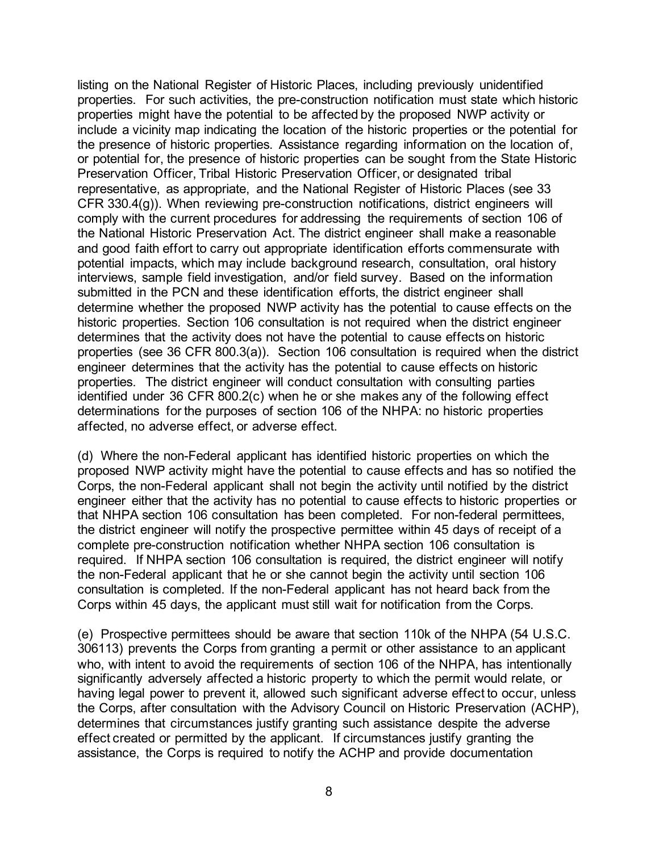listing on the National Register of Historic Places, including previously unidentified properties. For such activities, the pre-construction notification must state which historic properties might have the potential to be affected by the proposed NWP activity or include a vicinity map indicating the location of the historic properties or the potential for the presence of historic properties. Assistance regarding information on the location of, or potential for, the presence of historic properties can be sought from the State Historic Preservation Officer, Tribal Historic Preservation Officer, or designated tribal representative, as appropriate, and the National Register of Historic Places (see 33 CFR 330.4(g)). When reviewing pre-construction notifications, district engineers will comply with the current procedures for addressing the requirements of section 106 of the National Historic Preservation Act. The district engineer shall make a reasonable and good faith effort to carry out appropriate identification efforts commensurate with potential impacts, which may include background research, consultation, oral history interviews, sample field investigation, and/or field survey. Based on the information submitted in the PCN and these identification efforts, the district engineer shall determine whether the proposed NWP activity has the potential to cause effects on the historic properties. Section 106 consultation is not required when the district engineer determines that the activity does not have the potential to cause effects on historic properties (see 36 CFR 800.3(a)). Section 106 consultation is required when the district engineer determines that the activity has the potential to cause effects on historic properties. The district engineer will conduct consultation with consulting parties identified under 36 CFR 800.2(c) when he or she makes any of the following effect determinations for the purposes of section 106 of the NHPA: no historic properties affected, no adverse effect, or adverse effect.

(d) Where the non-Federal applicant has identified historic properties on which the proposed NWP activity might have the potential to cause effects and has so notified the Corps, the non-Federal applicant shall not begin the activity until notified by the district engineer either that the activity has no potential to cause effects to historic properties or that NHPA section 106 consultation has been completed. For non-federal permittees, the district engineer will notify the prospective permittee within 45 days of receipt of a complete pre-construction notification whether NHPA section 106 consultation is required. If NHPA section 106 consultation is required, the district engineer will notify the non-Federal applicant that he or she cannot begin the activity until section 106 consultation is completed. If the non-Federal applicant has not heard back from the Corps within 45 days, the applicant must still wait for notification from the Corps.

(e) Prospective permittees should be aware that section 110k of the NHPA (54 U.S.C. 306113) prevents the Corps from granting a permit or other assistance to an applicant who, with intent to avoid the requirements of section 106 of the NHPA, has intentionally significantly adversely affected a historic property to which the permit would relate, or having legal power to prevent it, allowed such significant adverse effect to occur, unless the Corps, after consultation with the Advisory Council on Historic Preservation (ACHP), determines that circumstances justify granting such assistance despite the adverse effect created or permitted by the applicant. If circumstances justify granting the assistance, the Corps is required to notify the ACHP and provide documentation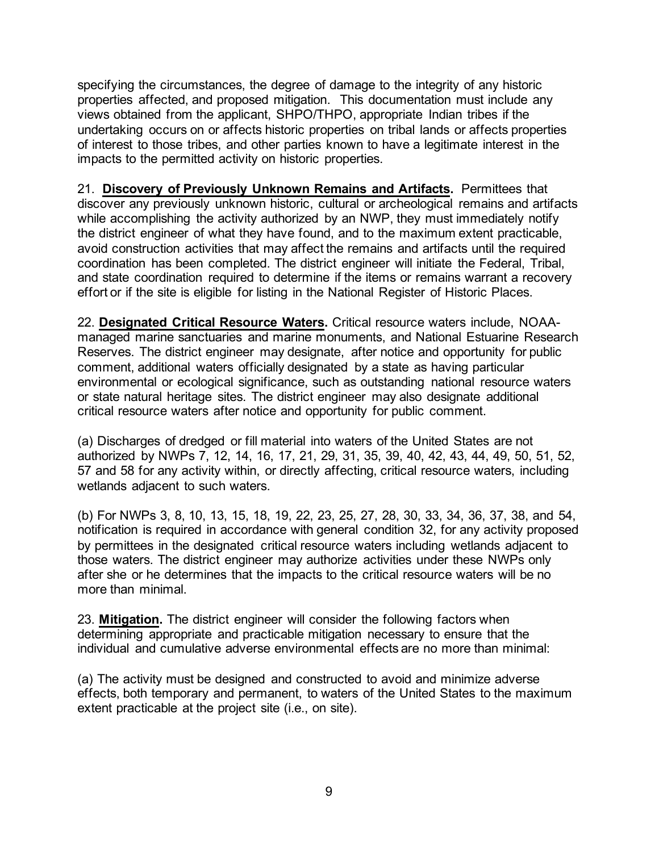specifying the circumstances, the degree of damage to the integrity of any historic properties affected, and proposed mitigation. This documentation must include any views obtained from the applicant, SHPO/THPO, appropriate Indian tribes if the undertaking occurs on or affects historic properties on tribal lands or affects properties of interest to those tribes, and other parties known to have a legitimate interest in the impacts to the permitted activity on historic properties.

21. **Discovery of Previously Unknown Remains and Artifacts.** Permittees that discover any previously unknown historic, cultural or archeological remains and artifacts while accomplishing the activity authorized by an NWP, they must immediately notify the district engineer of what they have found, and to the maximum extent practicable, avoid construction activities that may affect the remains and artifacts until the required coordination has been completed. The district engineer will initiate the Federal, Tribal, and state coordination required to determine if the items or remains warrant a recovery effort or if the site is eligible for listing in the National Register of Historic Places.

22. **Designated Critical Resource Waters.** Critical resource waters include, NOAAmanaged marine sanctuaries and marine monuments, and National Estuarine Research Reserves. The district engineer may designate, after notice and opportunity for public comment, additional waters officially designated by a state as having particular environmental or ecological significance, such as outstanding national resource waters or state natural heritage sites. The district engineer may also designate additional critical resource waters after notice and opportunity for public comment.

(a) Discharges of dredged or fill material into waters of the United States are not authorized by NWPs 7, 12, 14, 16, 17, 21, 29, 31, 35, 39, 40, 42, 43, 44, 49, 50, 51, 52, 57 and 58 for any activity within, or directly affecting, critical resource waters, including wetlands adjacent to such waters.

(b) For NWPs 3, 8, 10, 13, 15, 18, 19, 22, 23, 25, 27, 28, 30, 33, 34, 36, 37, 38, and 54, notification is required in accordance with general condition 32, for any activity proposed by permittees in the designated critical resource waters including wetlands adjacent to those waters. The district engineer may authorize activities under these NWPs only after she or he determines that the impacts to the critical resource waters will be no more than minimal.

23. **Mitigation.** The district engineer will consider the following factors when determining appropriate and practicable mitigation necessary to ensure that the individual and cumulative adverse environmental effects are no more than minimal:

(a) The activity must be designed and constructed to avoid and minimize adverse effects, both temporary and permanent, to waters of the United States to the maximum extent practicable at the project site (i.e., on site).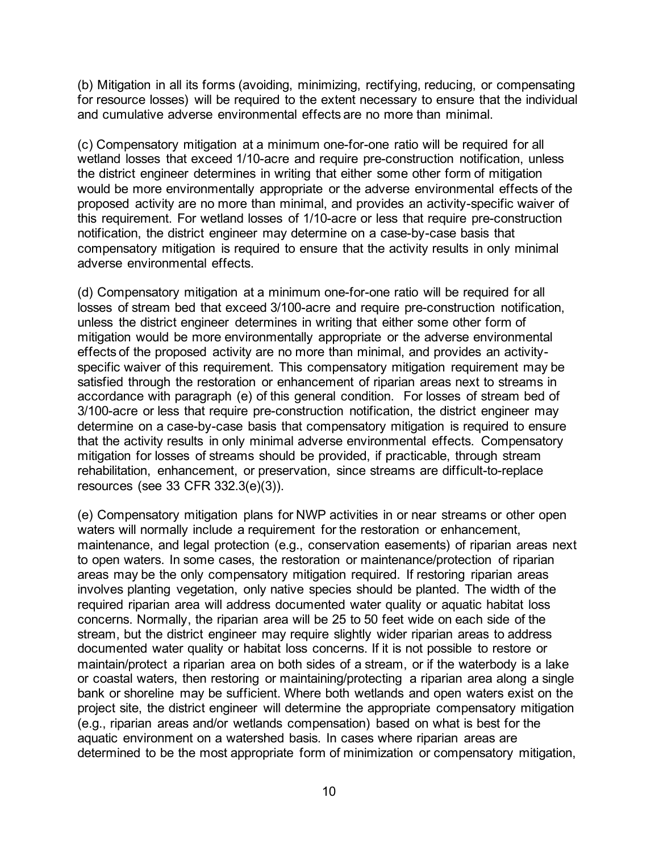(b) Mitigation in all its forms (avoiding, minimizing, rectifying, reducing, or compensating for resource losses) will be required to the extent necessary to ensure that the individual and cumulative adverse environmental effects are no more than minimal.

(c) Compensatory mitigation at a minimum one-for-one ratio will be required for all wetland losses that exceed 1/10-acre and require pre-construction notification, unless the district engineer determines in writing that either some other form of mitigation would be more environmentally appropriate or the adverse environmental effects of the proposed activity are no more than minimal, and provides an activity-specific waiver of this requirement. For wetland losses of 1/10-acre or less that require pre-construction notification, the district engineer may determine on a case-by-case basis that compensatory mitigation is required to ensure that the activity results in only minimal adverse environmental effects.

(d) Compensatory mitigation at a minimum one-for-one ratio will be required for all losses of stream bed that exceed 3/100-acre and require pre-construction notification, unless the district engineer determines in writing that either some other form of mitigation would be more environmentally appropriate or the adverse environmental effects of the proposed activity are no more than minimal, and provides an activityspecific waiver of this requirement. This compensatory mitigation requirement may be satisfied through the restoration or enhancement of riparian areas next to streams in accordance with paragraph (e) of this general condition. For losses of stream bed of 3/100-acre or less that require pre-construction notification, the district engineer may determine on a case-by-case basis that compensatory mitigation is required to ensure that the activity results in only minimal adverse environmental effects. Compensatory mitigation for losses of streams should be provided, if practicable, through stream rehabilitation, enhancement, or preservation, since streams are difficult-to-replace resources (see 33 CFR 332.3(e)(3)).

(e) Compensatory mitigation plans for NWP activities in or near streams or other open waters will normally include a requirement for the restoration or enhancement, maintenance, and legal protection (e.g., conservation easements) of riparian areas next to open waters. In some cases, the restoration or maintenance/protection of riparian areas may be the only compensatory mitigation required. If restoring riparian areas involves planting vegetation, only native species should be planted. The width of the required riparian area will address documented water quality or aquatic habitat loss concerns. Normally, the riparian area will be 25 to 50 feet wide on each side of the stream, but the district engineer may require slightly wider riparian areas to address documented water quality or habitat loss concerns. If it is not possible to restore or maintain/protect a riparian area on both sides of a stream, or if the waterbody is a lake or coastal waters, then restoring or maintaining/protecting a riparian area along a single bank or shoreline may be sufficient. Where both wetlands and open waters exist on the project site, the district engineer will determine the appropriate compensatory mitigation (e.g., riparian areas and/or wetlands compensation) based on what is best for the aquatic environment on a watershed basis. In cases where riparian areas are determined to be the most appropriate form of minimization or compensatory mitigation,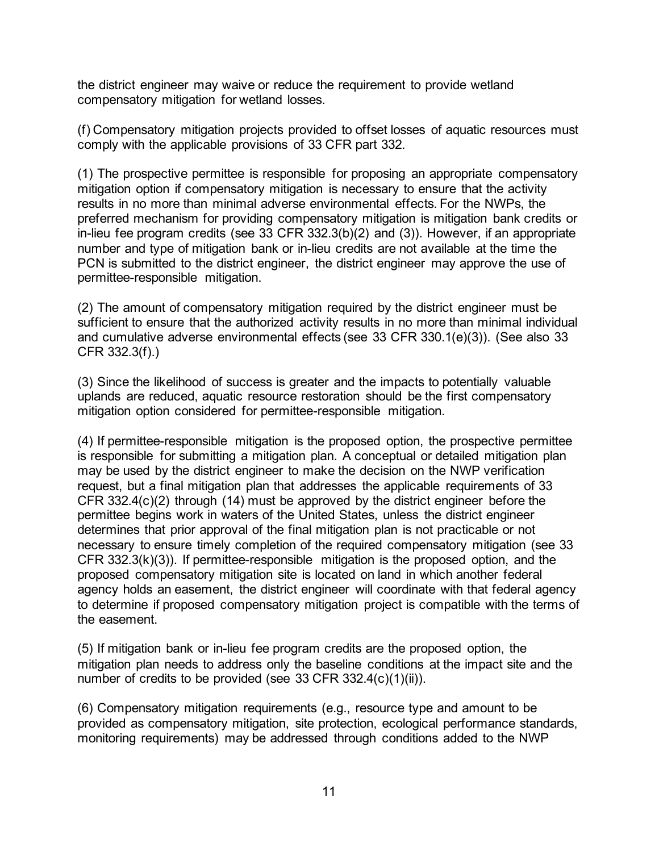the district engineer may waive or reduce the requirement to provide wetland compensatory mitigation for wetland losses.

(f) Compensatory mitigation projects provided to offset losses of aquatic resources must comply with the applicable provisions of 33 CFR part 332.

(1) The prospective permittee is responsible for proposing an appropriate compensatory mitigation option if compensatory mitigation is necessary to ensure that the activity results in no more than minimal adverse environmental effects. For the NWPs, the preferred mechanism for providing compensatory mitigation is mitigation bank credits or in-lieu fee program credits (see 33 CFR 332.3(b)(2) and (3)). However, if an appropriate number and type of mitigation bank or in-lieu credits are not available at the time the PCN is submitted to the district engineer, the district engineer may approve the use of permittee-responsible mitigation.

(2) The amount of compensatory mitigation required by the district engineer must be sufficient to ensure that the authorized activity results in no more than minimal individual and cumulative adverse environmental effects (see 33 CFR 330.1(e)(3)). (See also 33 CFR 332.3(f).)

(3) Since the likelihood of success is greater and the impacts to potentially valuable uplands are reduced, aquatic resource restoration should be the first compensatory mitigation option considered for permittee-responsible mitigation.

(4) If permittee-responsible mitigation is the proposed option, the prospective permittee is responsible for submitting a mitigation plan. A conceptual or detailed mitigation plan may be used by the district engineer to make the decision on the NWP verification request, but a final mitigation plan that addresses the applicable requirements of 33 CFR 332.4(c)(2) through (14) must be approved by the district engineer before the permittee begins work in waters of the United States, unless the district engineer determines that prior approval of the final mitigation plan is not practicable or not necessary to ensure timely completion of the required compensatory mitigation (see 33 CFR 332.3(k)(3)). If permittee-responsible mitigation is the proposed option, and the proposed compensatory mitigation site is located on land in which another federal agency holds an easement, the district engineer will coordinate with that federal agency to determine if proposed compensatory mitigation project is compatible with the terms of the easement.

(5) If mitigation bank or in-lieu fee program credits are the proposed option, the mitigation plan needs to address only the baseline conditions at the impact site and the number of credits to be provided (see 33 CFR 332.4(c)(1)(ii)).

(6) Compensatory mitigation requirements (e.g., resource type and amount to be provided as compensatory mitigation, site protection, ecological performance standards, monitoring requirements) may be addressed through conditions added to the NWP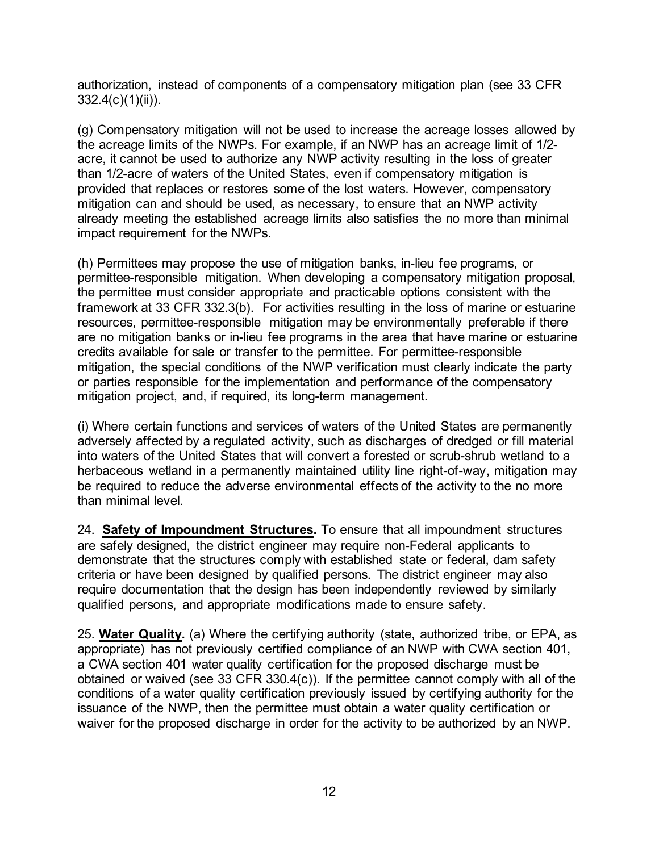authorization, instead of components of a compensatory mitigation plan (see 33 CFR  $332.4(c)(1)(ii)$ ).

(g) Compensatory mitigation will not be used to increase the acreage losses allowed by the acreage limits of the NWPs. For example, if an NWP has an acreage limit of 1/2 acre, it cannot be used to authorize any NWP activity resulting in the loss of greater than 1/2-acre of waters of the United States, even if compensatory mitigation is provided that replaces or restores some of the lost waters. However, compensatory mitigation can and should be used, as necessary, to ensure that an NWP activity already meeting the established acreage limits also satisfies the no more than minimal impact requirement for the NWPs.

(h) Permittees may propose the use of mitigation banks, in-lieu fee programs, or permittee-responsible mitigation. When developing a compensatory mitigation proposal, the permittee must consider appropriate and practicable options consistent with the framework at 33 CFR 332.3(b). For activities resulting in the loss of marine or estuarine resources, permittee-responsible mitigation may be environmentally preferable if there are no mitigation banks or in-lieu fee programs in the area that have marine or estuarine credits available for sale or transfer to the permittee. For permittee-responsible mitigation, the special conditions of the NWP verification must clearly indicate the party or parties responsible for the implementation and performance of the compensatory mitigation project, and, if required, its long-term management.

(i) Where certain functions and services of waters of the United States are permanently adversely affected by a regulated activity, such as discharges of dredged or fill material into waters of the United States that will convert a forested or scrub-shrub wetland to a herbaceous wetland in a permanently maintained utility line right-of-way, mitigation may be required to reduce the adverse environmental effects of the activity to the no more than minimal level.

24. **Safety of Impoundment Structures.** To ensure that all impoundment structures are safely designed, the district engineer may require non-Federal applicants to demonstrate that the structures comply with established state or federal, dam safety criteria or have been designed by qualified persons. The district engineer may also require documentation that the design has been independently reviewed by similarly qualified persons, and appropriate modifications made to ensure safety.

25. **Water Quality.** (a) Where the certifying authority (state, authorized tribe, or EPA, as appropriate) has not previously certified compliance of an NWP with CWA section 401, a CWA section 401 water quality certification for the proposed discharge must be obtained or waived (see 33 CFR 330.4(c)). If the permittee cannot comply with all of the conditions of a water quality certification previously issued by certifying authority for the issuance of the NWP, then the permittee must obtain a water quality certification or waiver for the proposed discharge in order for the activity to be authorized by an NWP.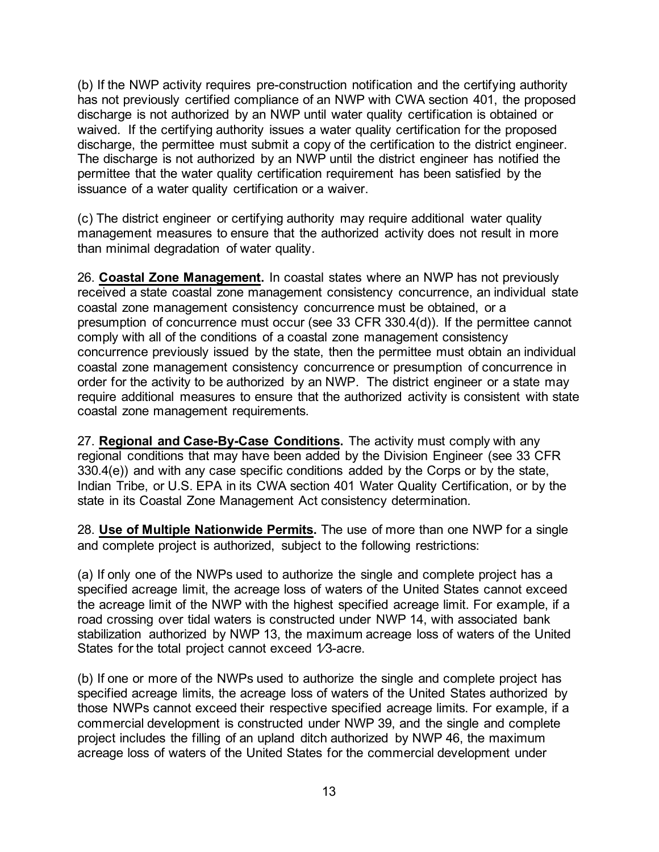(b) If the NWP activity requires pre-construction notification and the certifying authority has not previously certified compliance of an NWP with CWA section 401, the proposed discharge is not authorized by an NWP until water quality certification is obtained or waived. If the certifying authority issues a water quality certification for the proposed discharge, the permittee must submit a copy of the certification to the district engineer. The discharge is not authorized by an NWP until the district engineer has notified the permittee that the water quality certification requirement has been satisfied by the issuance of a water quality certification or a waiver.

(c) The district engineer or certifying authority may require additional water quality management measures to ensure that the authorized activity does not result in more than minimal degradation of water quality.

26. **Coastal Zone Management.** In coastal states where an NWP has not previously received a state coastal zone management consistency concurrence, an individual state coastal zone management consistency concurrence must be obtained, or a presumption of concurrence must occur (see 33 CFR 330.4(d)). If the permittee cannot comply with all of the conditions of a coastal zone management consistency concurrence previously issued by the state, then the permittee must obtain an individual coastal zone management consistency concurrence or presumption of concurrence in order for the activity to be authorized by an NWP. The district engineer or a state may require additional measures to ensure that the authorized activity is consistent with state coastal zone management requirements.

27. **Regional and Case-By-Case Conditions.** The activity must comply with any regional conditions that may have been added by the Division Engineer (see 33 CFR 330.4(e)) and with any case specific conditions added by the Corps or by the state, Indian Tribe, or U.S. EPA in its CWA section 401 Water Quality Certification, or by the state in its Coastal Zone Management Act consistency determination.

28. **Use of Multiple Nationwide Permits.** The use of more than one NWP for a single and complete project is authorized, subject to the following restrictions:

(a) If only one of the NWPs used to authorize the single and complete project has a specified acreage limit, the acreage loss of waters of the United States cannot exceed the acreage limit of the NWP with the highest specified acreage limit. For example, if a road crossing over tidal waters is constructed under NWP 14, with associated bank stabilization authorized by NWP 13, the maximum acreage loss of waters of the United States for the total project cannot exceed 1/3-acre.

(b) If one or more of the NWPs used to authorize the single and complete project has specified acreage limits, the acreage loss of waters of the United States authorized by those NWPs cannot exceed their respective specified acreage limits. For example, if a commercial development is constructed under NWP 39, and the single and complete project includes the filling of an upland ditch authorized by NWP 46, the maximum acreage loss of waters of the United States for the commercial development under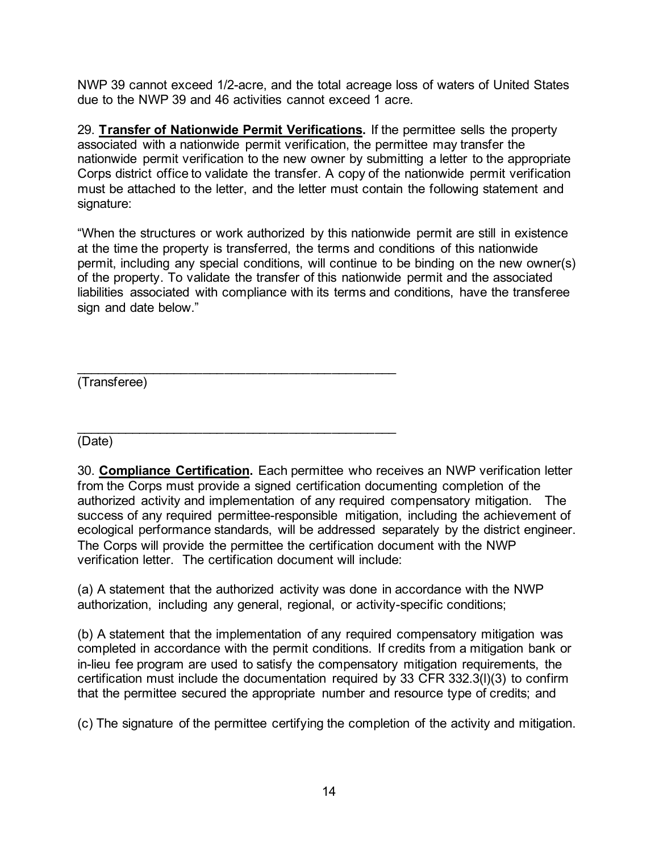NWP 39 cannot exceed 1/2-acre, and the total acreage loss of waters of United States due to the NWP 39 and 46 activities cannot exceed 1 acre.

29. **Transfer of Nationwide Permit Verifications.** If the permittee sells the property associated with a nationwide permit verification, the permittee may transfer the nationwide permit verification to the new owner by submitting a letter to the appropriate Corps district office to validate the transfer. A copy of the nationwide permit verification must be attached to the letter, and the letter must contain the following statement and signature:

"When the structures or work authorized by this nationwide permit are still in existence at the time the property is transferred, the terms and conditions of this nationwide permit, including any special conditions, will continue to be binding on the new owner(s) of the property. To validate the transfer of this nationwide permit and the associated liabilities associated with compliance with its terms and conditions, have the transferee sign and date below."

\_\_\_\_\_\_\_\_\_\_\_\_\_\_\_\_\_\_\_\_\_\_\_\_\_\_\_\_\_\_\_\_\_\_\_\_\_\_\_\_\_\_\_\_\_ (Transferee)

\_\_\_\_\_\_\_\_\_\_\_\_\_\_\_\_\_\_\_\_\_\_\_\_\_\_\_\_\_\_\_\_\_\_\_\_\_\_\_\_\_\_\_\_\_ (Date)

30. **Compliance Certification.** Each permittee who receives an NWP verification letter from the Corps must provide a signed certification documenting completion of the authorized activity and implementation of any required compensatory mitigation. The success of any required permittee-responsible mitigation, including the achievement of ecological performance standards, will be addressed separately by the district engineer. The Corps will provide the permittee the certification document with the NWP verification letter. The certification document will include:

(a) A statement that the authorized activity was done in accordance with the NWP authorization, including any general, regional, or activity-specific conditions;

(b) A statement that the implementation of any required compensatory mitigation was completed in accordance with the permit conditions. If credits from a mitigation bank or in-lieu fee program are used to satisfy the compensatory mitigation requirements, the certification must include the documentation required by 33 CFR 332.3(l)(3) to confirm that the permittee secured the appropriate number and resource type of credits; and

(c) The signature of the permittee certifying the completion of the activity and mitigation.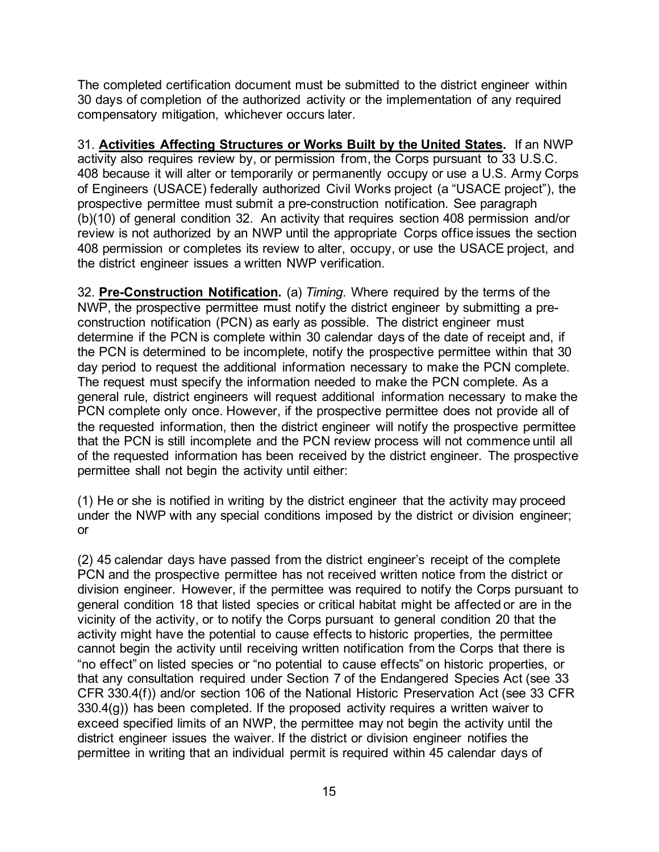The completed certification document must be submitted to the district engineer within 30 days of completion of the authorized activity or the implementation of any required compensatory mitigation, whichever occurs later.

31. **Activities Affecting Structures or Works Built by the United States.** If an NWP activity also requires review by, or permission from, the Corps pursuant to 33 U.S.C. 408 because it will alter or temporarily or permanently occupy or use a U.S. Army Corps of Engineers (USACE) federally authorized Civil Works project (a "USACE project"), the prospective permittee must submit a pre-construction notification. See paragraph (b)(10) of general condition 32. An activity that requires section 408 permission and/or review is not authorized by an NWP until the appropriate Corps office issues the section 408 permission or completes its review to alter, occupy, or use the USACE project, and the district engineer issues a written NWP verification.

32. **Pre-Construction Notification.** (a) *Timing*. Where required by the terms of the NWP, the prospective permittee must notify the district engineer by submitting a preconstruction notification (PCN) as early as possible. The district engineer must determine if the PCN is complete within 30 calendar days of the date of receipt and, if the PCN is determined to be incomplete, notify the prospective permittee within that 30 day period to request the additional information necessary to make the PCN complete. The request must specify the information needed to make the PCN complete. As a general rule, district engineers will request additional information necessary to make the PCN complete only once. However, if the prospective permittee does not provide all of the requested information, then the district engineer will notify the prospective permittee that the PCN is still incomplete and the PCN review process will not commence until all of the requested information has been received by the district engineer. The prospective permittee shall not begin the activity until either:

(1) He or she is notified in writing by the district engineer that the activity may proceed under the NWP with any special conditions imposed by the district or division engineer; or

(2) 45 calendar days have passed from the district engineer's receipt of the complete PCN and the prospective permittee has not received written notice from the district or division engineer. However, if the permittee was required to notify the Corps pursuant to general condition 18 that listed species or critical habitat might be affected or are in the vicinity of the activity, or to notify the Corps pursuant to general condition 20 that the activity might have the potential to cause effects to historic properties, the permittee cannot begin the activity until receiving written notification from the Corps that there is "no effect" on listed species or "no potential to cause effects" on historic properties, or that any consultation required under Section 7 of the Endangered Species Act (see 33 CFR 330.4(f)) and/or section 106 of the National Historic Preservation Act (see 33 CFR 330.4(g)) has been completed. If the proposed activity requires a written waiver to exceed specified limits of an NWP, the permittee may not begin the activity until the district engineer issues the waiver. If the district or division engineer notifies the permittee in writing that an individual permit is required within 45 calendar days of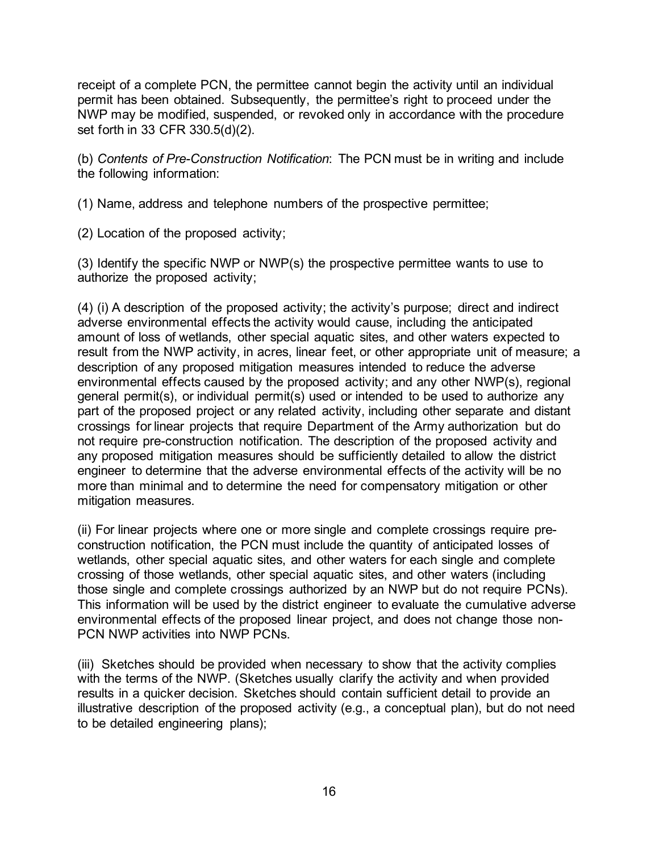receipt of a complete PCN, the permittee cannot begin the activity until an individual permit has been obtained. Subsequently, the permittee's right to proceed under the NWP may be modified, suspended, or revoked only in accordance with the procedure set forth in 33 CFR 330.5(d)(2).

(b) *Contents of Pre-Construction Notification*: The PCN must be in writing and include the following information:

(1) Name, address and telephone numbers of the prospective permittee;

(2) Location of the proposed activity;

(3) Identify the specific NWP or NWP(s) the prospective permittee wants to use to authorize the proposed activity;

(4) (i) A description of the proposed activity; the activity's purpose; direct and indirect adverse environmental effects the activity would cause, including the anticipated amount of loss of wetlands, other special aquatic sites, and other waters expected to result from the NWP activity, in acres, linear feet, or other appropriate unit of measure; a description of any proposed mitigation measures intended to reduce the adverse environmental effects caused by the proposed activity; and any other NWP(s), regional general permit(s), or individual permit(s) used or intended to be used to authorize any part of the proposed project or any related activity, including other separate and distant crossings for linear projects that require Department of the Army authorization but do not require pre-construction notification. The description of the proposed activity and any proposed mitigation measures should be sufficiently detailed to allow the district engineer to determine that the adverse environmental effects of the activity will be no more than minimal and to determine the need for compensatory mitigation or other mitigation measures.

(ii) For linear projects where one or more single and complete crossings require preconstruction notification, the PCN must include the quantity of anticipated losses of wetlands, other special aquatic sites, and other waters for each single and complete crossing of those wetlands, other special aquatic sites, and other waters (including those single and complete crossings authorized by an NWP but do not require PCNs). This information will be used by the district engineer to evaluate the cumulative adverse environmental effects of the proposed linear project, and does not change those non-PCN NWP activities into NWP PCNs.

(iii) Sketches should be provided when necessary to show that the activity complies with the terms of the NWP. (Sketches usually clarify the activity and when provided results in a quicker decision. Sketches should contain sufficient detail to provide an illustrative description of the proposed activity (e.g., a conceptual plan), but do not need to be detailed engineering plans);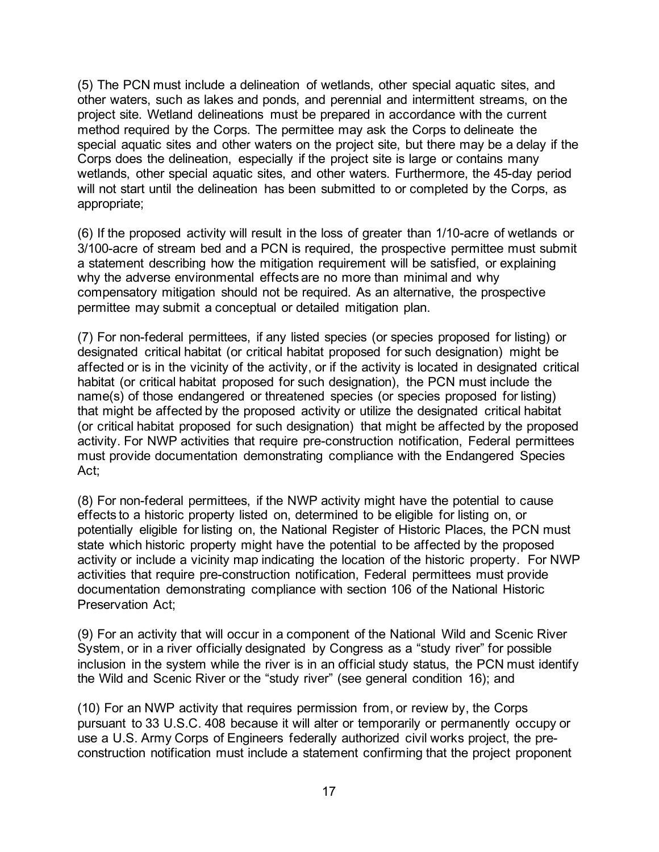(5) The PCN must include a delineation of wetlands, other special aquatic sites, and other waters, such as lakes and ponds, and perennial and intermittent streams, on the project site. Wetland delineations must be prepared in accordance with the current method required by the Corps. The permittee may ask the Corps to delineate the special aquatic sites and other waters on the project site, but there may be a delay if the Corps does the delineation, especially if the project site is large or contains many wetlands, other special aquatic sites, and other waters. Furthermore, the 45-day period will not start until the delineation has been submitted to or completed by the Corps, as appropriate;

(6) If the proposed activity will result in the loss of greater than 1/10-acre of wetlands or 3/100-acre of stream bed and a PCN is required, the prospective permittee must submit a statement describing how the mitigation requirement will be satisfied, or explaining why the adverse environmental effects are no more than minimal and why compensatory mitigation should not be required. As an alternative, the prospective permittee may submit a conceptual or detailed mitigation plan.

(7) For non-federal permittees, if any listed species (or species proposed for listing) or designated critical habitat (or critical habitat proposed for such designation) might be affected or is in the vicinity of the activity, or if the activity is located in designated critical habitat (or critical habitat proposed for such designation), the PCN must include the name(s) of those endangered or threatened species (or species proposed for listing) that might be affected by the proposed activity or utilize the designated critical habitat (or critical habitat proposed for such designation) that might be affected by the proposed activity. For NWP activities that require pre-construction notification, Federal permittees must provide documentation demonstrating compliance with the Endangered Species Act;

(8) For non-federal permittees, if the NWP activity might have the potential to cause effects to a historic property listed on, determined to be eligible for listing on, or potentially eligible for listing on, the National Register of Historic Places, the PCN must state which historic property might have the potential to be affected by the proposed activity or include a vicinity map indicating the location of the historic property. For NWP activities that require pre-construction notification, Federal permittees must provide documentation demonstrating compliance with section 106 of the National Historic Preservation Act;

(9) For an activity that will occur in a component of the National Wild and Scenic River System, or in a river officially designated by Congress as a "study river" for possible inclusion in the system while the river is in an official study status, the PCN must identify the Wild and Scenic River or the "study river" (see general condition 16); and

(10) For an NWP activity that requires permission from, or review by, the Corps pursuant to 33 U.S.C. 408 because it will alter or temporarily or permanently occupy or use a U.S. Army Corps of Engineers federally authorized civil works project, the preconstruction notification must include a statement confirming that the project proponent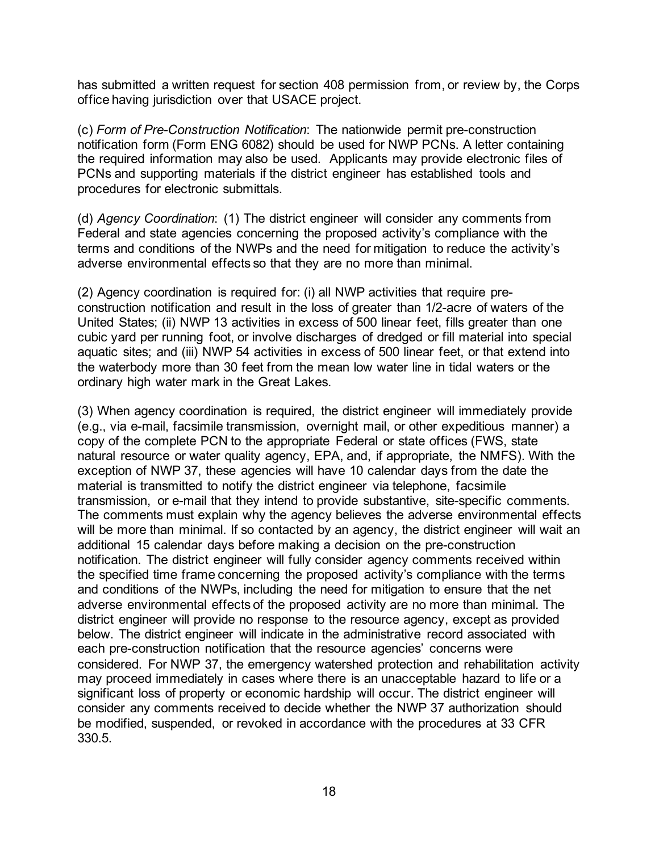has submitted a written request for section 408 permission from, or review by, the Corps office having jurisdiction over that USACE project.

(c) *Form of Pre-Construction Notification*: The nationwide permit pre-construction notification form (Form ENG 6082) should be used for NWP PCNs. A letter containing the required information may also be used. Applicants may provide electronic files of PCNs and supporting materials if the district engineer has established tools and procedures for electronic submittals.

(d) *Agency Coordination*: (1) The district engineer will consider any comments from Federal and state agencies concerning the proposed activity's compliance with the terms and conditions of the NWPs and the need for mitigation to reduce the activity's adverse environmental effects so that they are no more than minimal.

(2) Agency coordination is required for: (i) all NWP activities that require preconstruction notification and result in the loss of greater than 1/2-acre of waters of the United States; (ii) NWP 13 activities in excess of 500 linear feet, fills greater than one cubic yard per running foot, or involve discharges of dredged or fill material into special aquatic sites; and (iii) NWP 54 activities in excess of 500 linear feet, or that extend into the waterbody more than 30 feet from the mean low water line in tidal waters or the ordinary high water mark in the Great Lakes.

(3) When agency coordination is required, the district engineer will immediately provide (e.g., via e-mail, facsimile transmission, overnight mail, or other expeditious manner) a copy of the complete PCN to the appropriate Federal or state offices (FWS, state natural resource or water quality agency, EPA, and, if appropriate, the NMFS). With the exception of NWP 37, these agencies will have 10 calendar days from the date the material is transmitted to notify the district engineer via telephone, facsimile transmission, or e-mail that they intend to provide substantive, site-specific comments. The comments must explain why the agency believes the adverse environmental effects will be more than minimal. If so contacted by an agency, the district engineer will wait an additional 15 calendar days before making a decision on the pre-construction notification. The district engineer will fully consider agency comments received within the specified time frame concerning the proposed activity's compliance with the terms and conditions of the NWPs, including the need for mitigation to ensure that the net adverse environmental effects of the proposed activity are no more than minimal. The district engineer will provide no response to the resource agency, except as provided below. The district engineer will indicate in the administrative record associated with each pre-construction notification that the resource agencies' concerns were considered. For NWP 37, the emergency watershed protection and rehabilitation activity may proceed immediately in cases where there is an unacceptable hazard to life or a significant loss of property or economic hardship will occur. The district engineer will consider any comments received to decide whether the NWP 37 authorization should be modified, suspended, or revoked in accordance with the procedures at 33 CFR 330.5.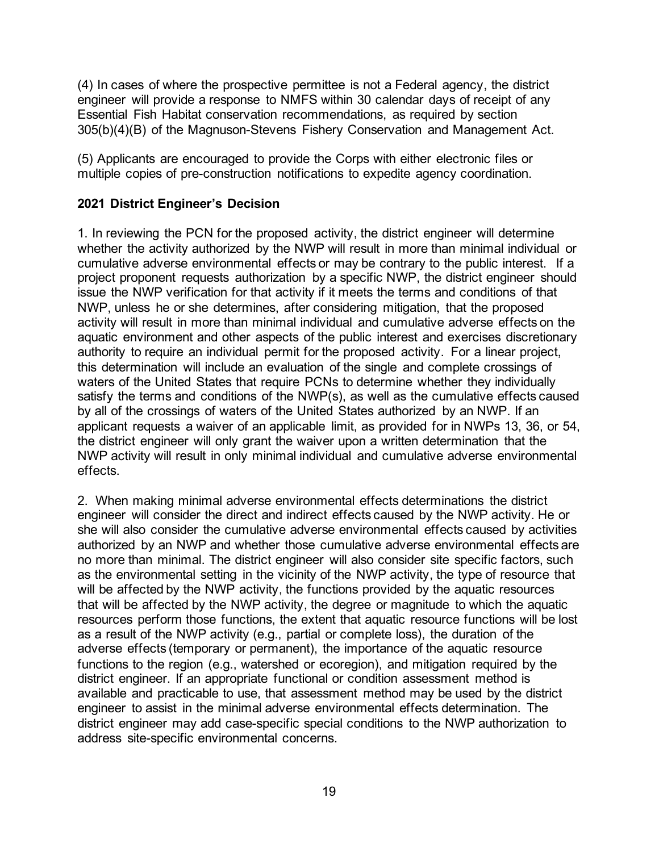(4) In cases of where the prospective permittee is not a Federal agency, the district engineer will provide a response to NMFS within 30 calendar days of receipt of any Essential Fish Habitat conservation recommendations, as required by section 305(b)(4)(B) of the Magnuson-Stevens Fishery Conservation and Management Act.

(5) Applicants are encouraged to provide the Corps with either electronic files or multiple copies of pre-construction notifications to expedite agency coordination.

# **2021 District Engineer's Decision**

1. In reviewing the PCN for the proposed activity, the district engineer will determine whether the activity authorized by the NWP will result in more than minimal individual or cumulative adverse environmental effects or may be contrary to the public interest. If a project proponent requests authorization by a specific NWP, the district engineer should issue the NWP verification for that activity if it meets the terms and conditions of that NWP, unless he or she determines, after considering mitigation, that the proposed activity will result in more than minimal individual and cumulative adverse effects on the aquatic environment and other aspects of the public interest and exercises discretionary authority to require an individual permit for the proposed activity. For a linear project, this determination will include an evaluation of the single and complete crossings of waters of the United States that require PCNs to determine whether they individually satisfy the terms and conditions of the NWP(s), as well as the cumulative effects caused by all of the crossings of waters of the United States authorized by an NWP. If an applicant requests a waiver of an applicable limit, as provided for in NWPs 13, 36, or 54, the district engineer will only grant the waiver upon a written determination that the NWP activity will result in only minimal individual and cumulative adverse environmental effects.

2. When making minimal adverse environmental effects determinations the district engineer will consider the direct and indirect effects caused by the NWP activity. He or she will also consider the cumulative adverse environmental effects caused by activities authorized by an NWP and whether those cumulative adverse environmental effects are no more than minimal. The district engineer will also consider site specific factors, such as the environmental setting in the vicinity of the NWP activity, the type of resource that will be affected by the NWP activity, the functions provided by the aquatic resources that will be affected by the NWP activity, the degree or magnitude to which the aquatic resources perform those functions, the extent that aquatic resource functions will be lost as a result of the NWP activity (e.g., partial or complete loss), the duration of the adverse effects (temporary or permanent), the importance of the aquatic resource functions to the region (e.g., watershed or ecoregion), and mitigation required by the district engineer. If an appropriate functional or condition assessment method is available and practicable to use, that assessment method may be used by the district engineer to assist in the minimal adverse environmental effects determination. The district engineer may add case-specific special conditions to the NWP authorization to address site-specific environmental concerns.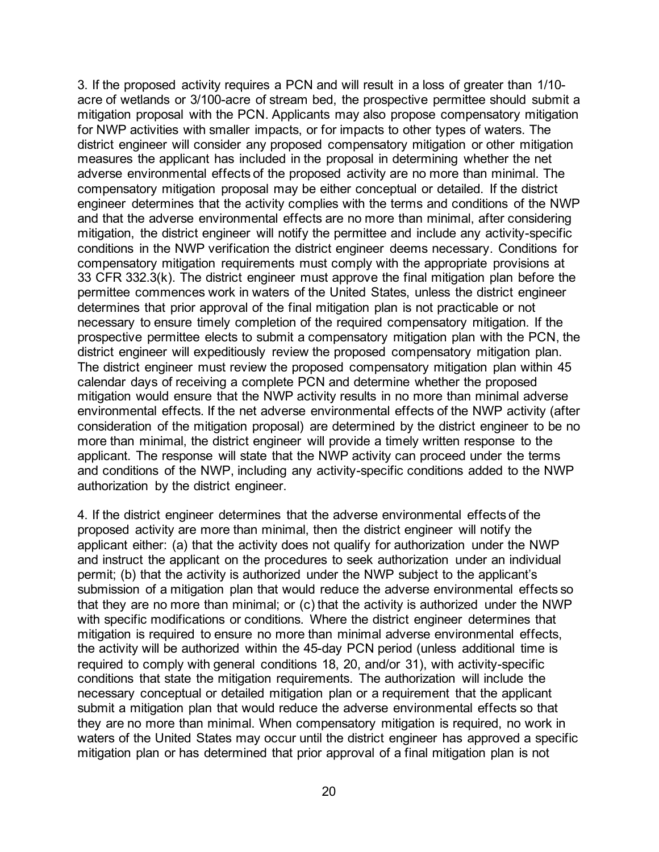3. If the proposed activity requires a PCN and will result in a loss of greater than 1/10 acre of wetlands or 3/100-acre of stream bed, the prospective permittee should submit a mitigation proposal with the PCN. Applicants may also propose compensatory mitigation for NWP activities with smaller impacts, or for impacts to other types of waters. The district engineer will consider any proposed compensatory mitigation or other mitigation measures the applicant has included in the proposal in determining whether the net adverse environmental effects of the proposed activity are no more than minimal. The compensatory mitigation proposal may be either conceptual or detailed. If the district engineer determines that the activity complies with the terms and conditions of the NWP and that the adverse environmental effects are no more than minimal, after considering mitigation, the district engineer will notify the permittee and include any activity-specific conditions in the NWP verification the district engineer deems necessary. Conditions for compensatory mitigation requirements must comply with the appropriate provisions at 33 CFR 332.3(k). The district engineer must approve the final mitigation plan before the permittee commences work in waters of the United States, unless the district engineer determines that prior approval of the final mitigation plan is not practicable or not necessary to ensure timely completion of the required compensatory mitigation. If the prospective permittee elects to submit a compensatory mitigation plan with the PCN, the district engineer will expeditiously review the proposed compensatory mitigation plan. The district engineer must review the proposed compensatory mitigation plan within 45 calendar days of receiving a complete PCN and determine whether the proposed mitigation would ensure that the NWP activity results in no more than minimal adverse environmental effects. If the net adverse environmental effects of the NWP activity (after consideration of the mitigation proposal) are determined by the district engineer to be no more than minimal, the district engineer will provide a timely written response to the applicant. The response will state that the NWP activity can proceed under the terms and conditions of the NWP, including any activity-specific conditions added to the NWP authorization by the district engineer.

4. If the district engineer determines that the adverse environmental effects of the proposed activity are more than minimal, then the district engineer will notify the applicant either: (a) that the activity does not qualify for authorization under the NWP and instruct the applicant on the procedures to seek authorization under an individual permit; (b) that the activity is authorized under the NWP subject to the applicant's submission of a mitigation plan that would reduce the adverse environmental effects so that they are no more than minimal; or (c) that the activity is authorized under the NWP with specific modifications or conditions. Where the district engineer determines that mitigation is required to ensure no more than minimal adverse environmental effects, the activity will be authorized within the 45-day PCN period (unless additional time is required to comply with general conditions 18, 20, and/or 31), with activity-specific conditions that state the mitigation requirements. The authorization will include the necessary conceptual or detailed mitigation plan or a requirement that the applicant submit a mitigation plan that would reduce the adverse environmental effects so that they are no more than minimal. When compensatory mitigation is required, no work in waters of the United States may occur until the district engineer has approved a specific mitigation plan or has determined that prior approval of a final mitigation plan is not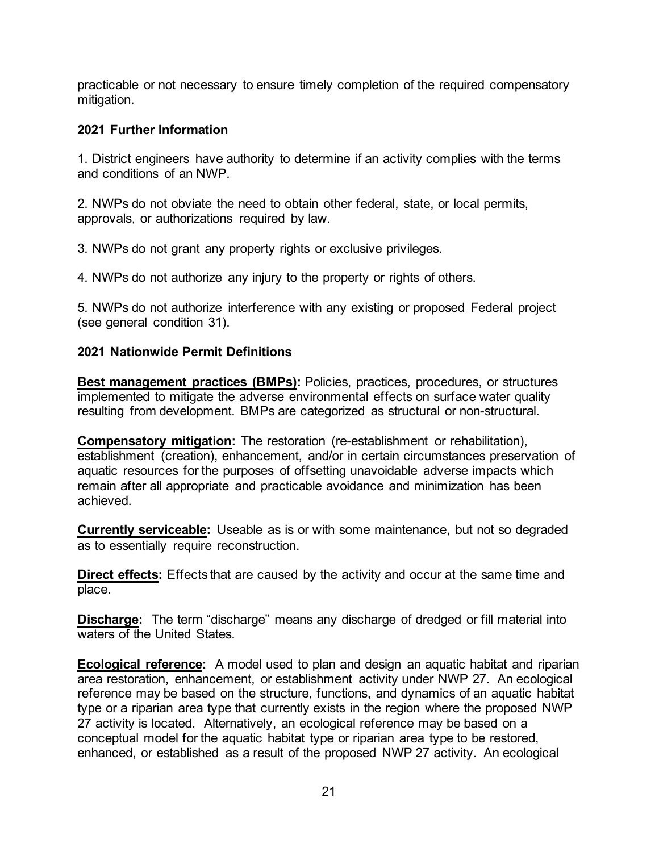practicable or not necessary to ensure timely completion of the required compensatory mitigation.

# **2021 Further Information**

1. District engineers have authority to determine if an activity complies with the terms and conditions of an NWP.

2. NWPs do not obviate the need to obtain other federal, state, or local permits, approvals, or authorizations required by law.

3. NWPs do not grant any property rights or exclusive privileges.

4. NWPs do not authorize any injury to the property or rights of others.

5. NWPs do not authorize interference with any existing or proposed Federal project (see general condition 31).

#### **2021 Nationwide Permit Definitions**

**Best management practices (BMPs):** Policies, practices, procedures, or structures implemented to mitigate the adverse environmental effects on surface water quality resulting from development. BMPs are categorized as structural or non-structural.

**Compensatory mitigation:** The restoration (re-establishment or rehabilitation), establishment (creation), enhancement, and/or in certain circumstances preservation of aquatic resources for the purposes of offsetting unavoidable adverse impacts which remain after all appropriate and practicable avoidance and minimization has been achieved.

**Currently serviceable:** Useable as is or with some maintenance, but not so degraded as to essentially require reconstruction.

**Direct effects:** Effects that are caused by the activity and occur at the same time and place.

**Discharge:** The term "discharge" means any discharge of dredged or fill material into waters of the United States

**Ecological reference:** A model used to plan and design an aquatic habitat and riparian area restoration, enhancement, or establishment activity under NWP 27. An ecological reference may be based on the structure, functions, and dynamics of an aquatic habitat type or a riparian area type that currently exists in the region where the proposed NWP 27 activity is located. Alternatively, an ecological reference may be based on a conceptual model for the aquatic habitat type or riparian area type to be restored, enhanced, or established as a result of the proposed NWP 27 activity. An ecological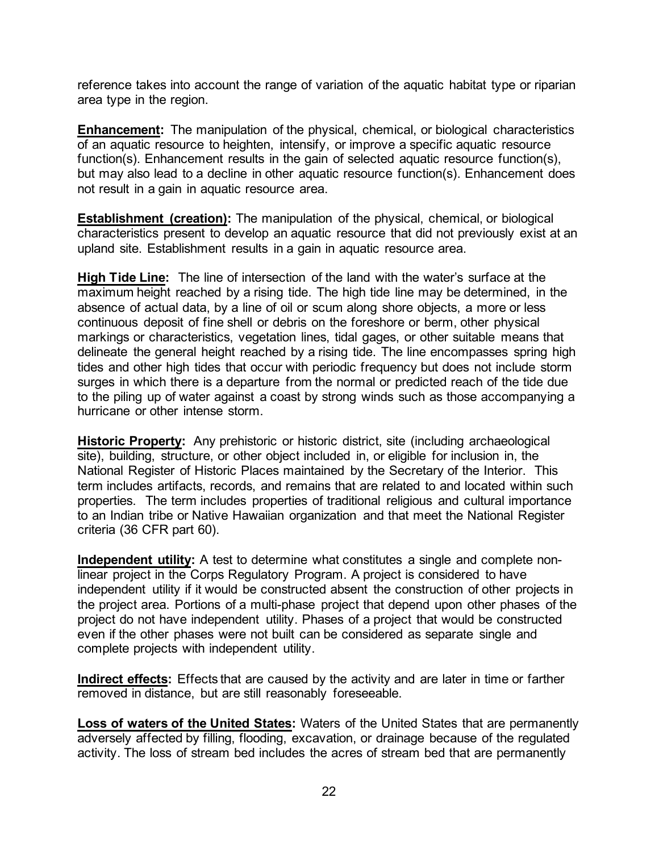reference takes into account the range of variation of the aquatic habitat type or riparian area type in the region.

**Enhancement:** The manipulation of the physical, chemical, or biological characteristics of an aquatic resource to heighten, intensify, or improve a specific aquatic resource function(s). Enhancement results in the gain of selected aquatic resource function(s), but may also lead to a decline in other aquatic resource function(s). Enhancement does not result in a gain in aquatic resource area.

**Establishment (creation):** The manipulation of the physical, chemical, or biological characteristics present to develop an aquatic resource that did not previously exist at an upland site. Establishment results in a gain in aquatic resource area.

**High Tide Line:** The line of intersection of the land with the water's surface at the maximum height reached by a rising tide. The high tide line may be determined, in the absence of actual data, by a line of oil or scum along shore objects, a more or less continuous deposit of fine shell or debris on the foreshore or berm, other physical markings or characteristics, vegetation lines, tidal gages, or other suitable means that delineate the general height reached by a rising tide. The line encompasses spring high tides and other high tides that occur with periodic frequency but does not include storm surges in which there is a departure from the normal or predicted reach of the tide due to the piling up of water against a coast by strong winds such as those accompanying a hurricane or other intense storm.

**Historic Property:** Any prehistoric or historic district, site (including archaeological site), building, structure, or other object included in, or eligible for inclusion in, the National Register of Historic Places maintained by the Secretary of the Interior. This term includes artifacts, records, and remains that are related to and located within such properties. The term includes properties of traditional religious and cultural importance to an Indian tribe or Native Hawaiian organization and that meet the National Register criteria (36 CFR part 60).

**Independent utility:** A test to determine what constitutes a single and complete nonlinear project in the Corps Regulatory Program. A project is considered to have independent utility if it would be constructed absent the construction of other projects in the project area. Portions of a multi-phase project that depend upon other phases of the project do not have independent utility. Phases of a project that would be constructed even if the other phases were not built can be considered as separate single and complete projects with independent utility.

**Indirect effects:** Effects that are caused by the activity and are later in time or farther removed in distance, but are still reasonably foreseeable.

**Loss of waters of the United States:** Waters of the United States that are permanently adversely affected by filling, flooding, excavation, or drainage because of the regulated activity. The loss of stream bed includes the acres of stream bed that are permanently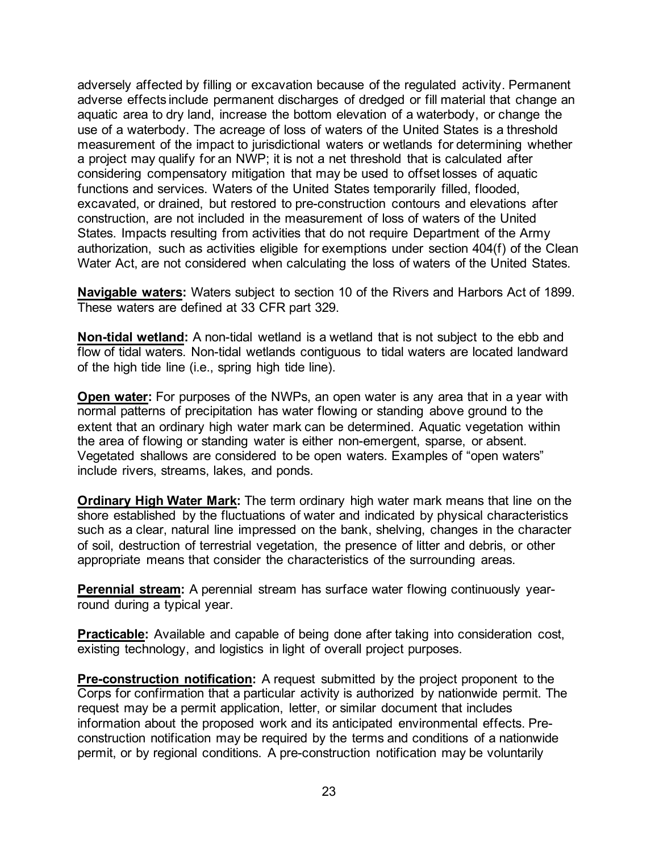adversely affected by filling or excavation because of the regulated activity. Permanent adverse effects include permanent discharges of dredged or fill material that change an aquatic area to dry land, increase the bottom elevation of a waterbody, or change the use of a waterbody. The acreage of loss of waters of the United States is a threshold measurement of the impact to jurisdictional waters or wetlands for determining whether a project may qualify for an NWP; it is not a net threshold that is calculated after considering compensatory mitigation that may be used to offset losses of aquatic functions and services. Waters of the United States temporarily filled, flooded, excavated, or drained, but restored to pre-construction contours and elevations after construction, are not included in the measurement of loss of waters of the United States. Impacts resulting from activities that do not require Department of the Army authorization, such as activities eligible for exemptions under section 404(f) of the Clean Water Act, are not considered when calculating the loss of waters of the United States.

**Navigable waters:** Waters subject to section 10 of the Rivers and Harbors Act of 1899. These waters are defined at 33 CFR part 329.

**Non-tidal wetland:** A non-tidal wetland is a wetland that is not subject to the ebb and flow of tidal waters. Non-tidal wetlands contiguous to tidal waters are located landward of the high tide line (i.e., spring high tide line).

**Open water:** For purposes of the NWPs, an open water is any area that in a year with normal patterns of precipitation has water flowing or standing above ground to the extent that an ordinary high water mark can be determined. Aquatic vegetation within the area of flowing or standing water is either non-emergent, sparse, or absent. Vegetated shallows are considered to be open waters. Examples of "open waters" include rivers, streams, lakes, and ponds.

**Ordinary High Water Mark:** The term ordinary high water mark means that line on the shore established by the fluctuations of water and indicated by physical characteristics such as a clear, natural line impressed on the bank, shelving, changes in the character of soil, destruction of terrestrial vegetation, the presence of litter and debris, or other appropriate means that consider the characteristics of the surrounding areas.

**Perennial stream:** A perennial stream has surface water flowing continuously yearround during a typical year.

**Practicable:** Available and capable of being done after taking into consideration cost, existing technology, and logistics in light of overall project purposes.

**Pre-construction notification:** A request submitted by the project proponent to the Corps for confirmation that a particular activity is authorized by nationwide permit. The request may be a permit application, letter, or similar document that includes information about the proposed work and its anticipated environmental effects. Preconstruction notification may be required by the terms and conditions of a nationwide permit, or by regional conditions. A pre-construction notification may be voluntarily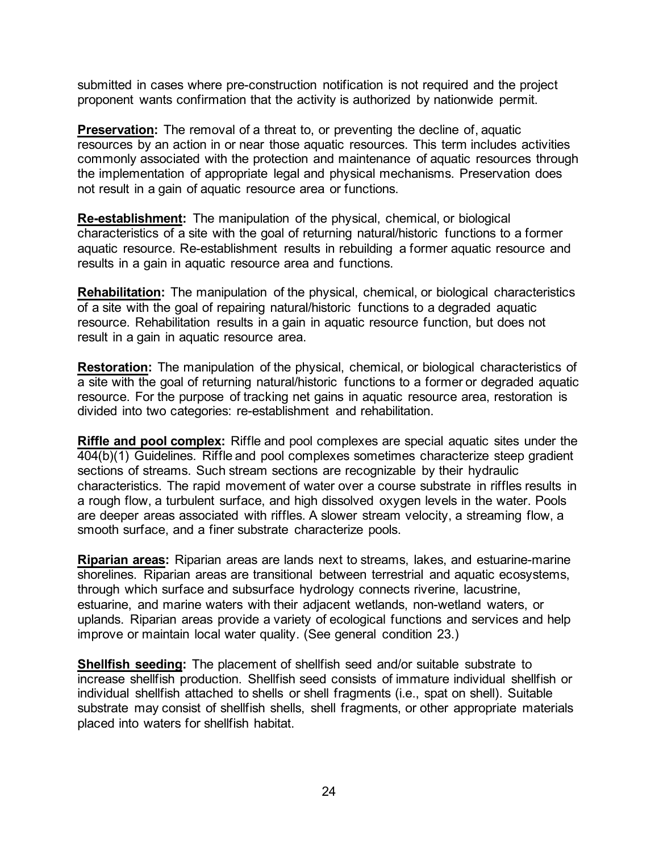submitted in cases where pre-construction notification is not required and the project proponent wants confirmation that the activity is authorized by nationwide permit.

**Preservation:** The removal of a threat to, or preventing the decline of, aquatic resources by an action in or near those aquatic resources. This term includes activities commonly associated with the protection and maintenance of aquatic resources through the implementation of appropriate legal and physical mechanisms. Preservation does not result in a gain of aquatic resource area or functions.

**Re-establishment:** The manipulation of the physical, chemical, or biological characteristics of a site with the goal of returning natural/historic functions to a former aquatic resource. Re-establishment results in rebuilding a former aquatic resource and results in a gain in aquatic resource area and functions.

**Rehabilitation:** The manipulation of the physical, chemical, or biological characteristics of a site with the goal of repairing natural/historic functions to a degraded aquatic resource. Rehabilitation results in a gain in aquatic resource function, but does not result in a gain in aquatic resource area.

**Restoration:** The manipulation of the physical, chemical, or biological characteristics of a site with the goal of returning natural/historic functions to a former or degraded aquatic resource. For the purpose of tracking net gains in aquatic resource area, restoration is divided into two categories: re-establishment and rehabilitation.

**Riffle and pool complex:** Riffle and pool complexes are special aquatic sites under the 404(b)(1) Guidelines. Riffle and pool complexes sometimes characterize steep gradient sections of streams. Such stream sections are recognizable by their hydraulic characteristics. The rapid movement of water over a course substrate in riffles results in a rough flow, a turbulent surface, and high dissolved oxygen levels in the water. Pools are deeper areas associated with riffles. A slower stream velocity, a streaming flow, a smooth surface, and a finer substrate characterize pools.

**Riparian areas:** Riparian areas are lands next to streams, lakes, and estuarine-marine shorelines. Riparian areas are transitional between terrestrial and aquatic ecosystems, through which surface and subsurface hydrology connects riverine, lacustrine, estuarine, and marine waters with their adjacent wetlands, non-wetland waters, or uplands. Riparian areas provide a variety of ecological functions and services and help improve or maintain local water quality. (See general condition 23.)

**Shellfish seeding:** The placement of shellfish seed and/or suitable substrate to increase shellfish production. Shellfish seed consists of immature individual shellfish or individual shellfish attached to shells or shell fragments (i.e., spat on shell). Suitable substrate may consist of shellfish shells, shell fragments, or other appropriate materials placed into waters for shellfish habitat.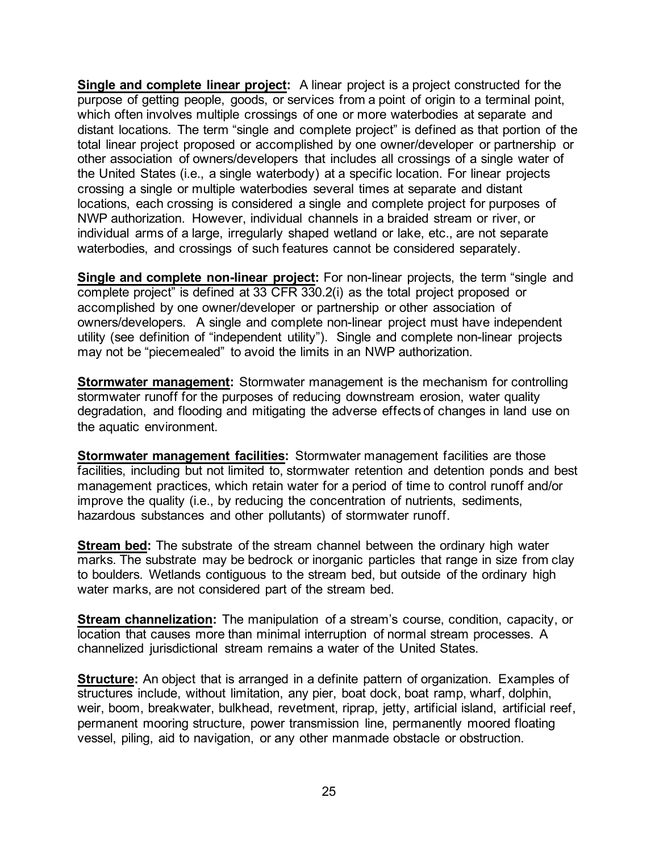**Single and complete linear project:** A linear project is a project constructed for the purpose of getting people, goods, or services from a point of origin to a terminal point, which often involves multiple crossings of one or more waterbodies at separate and distant locations. The term "single and complete project" is defined as that portion of the total linear project proposed or accomplished by one owner/developer or partnership or other association of owners/developers that includes all crossings of a single water of the United States (i.e., a single waterbody) at a specific location. For linear projects crossing a single or multiple waterbodies several times at separate and distant locations, each crossing is considered a single and complete project for purposes of NWP authorization. However, individual channels in a braided stream or river, or individual arms of a large, irregularly shaped wetland or lake, etc., are not separate waterbodies, and crossings of such features cannot be considered separately.

**Single and complete non-linear project:** For non-linear projects, the term "single and complete project" is defined at 33 CFR 330.2(i) as the total project proposed or accomplished by one owner/developer or partnership or other association of owners/developers. A single and complete non-linear project must have independent utility (see definition of "independent utility"). Single and complete non-linear projects may not be "piecemealed" to avoid the limits in an NWP authorization.

**Stormwater management:** Stormwater management is the mechanism for controlling stormwater runoff for the purposes of reducing downstream erosion, water quality degradation, and flooding and mitigating the adverse effects of changes in land use on the aquatic environment.

**Stormwater management facilities:** Stormwater management facilities are those facilities, including but not limited to, stormwater retention and detention ponds and best management practices, which retain water for a period of time to control runoff and/or improve the quality (i.e., by reducing the concentration of nutrients, sediments, hazardous substances and other pollutants) of stormwater runoff.

**Stream bed:** The substrate of the stream channel between the ordinary high water marks. The substrate may be bedrock or inorganic particles that range in size from clay to boulders. Wetlands contiguous to the stream bed, but outside of the ordinary high water marks, are not considered part of the stream bed.

**Stream channelization:** The manipulation of a stream's course, condition, capacity, or location that causes more than minimal interruption of normal stream processes. A channelized jurisdictional stream remains a water of the United States.

**Structure:** An object that is arranged in a definite pattern of organization. Examples of structures include, without limitation, any pier, boat dock, boat ramp, wharf, dolphin, weir, boom, breakwater, bulkhead, revetment, riprap, jetty, artificial island, artificial reef, permanent mooring structure, power transmission line, permanently moored floating vessel, piling, aid to navigation, or any other manmade obstacle or obstruction.